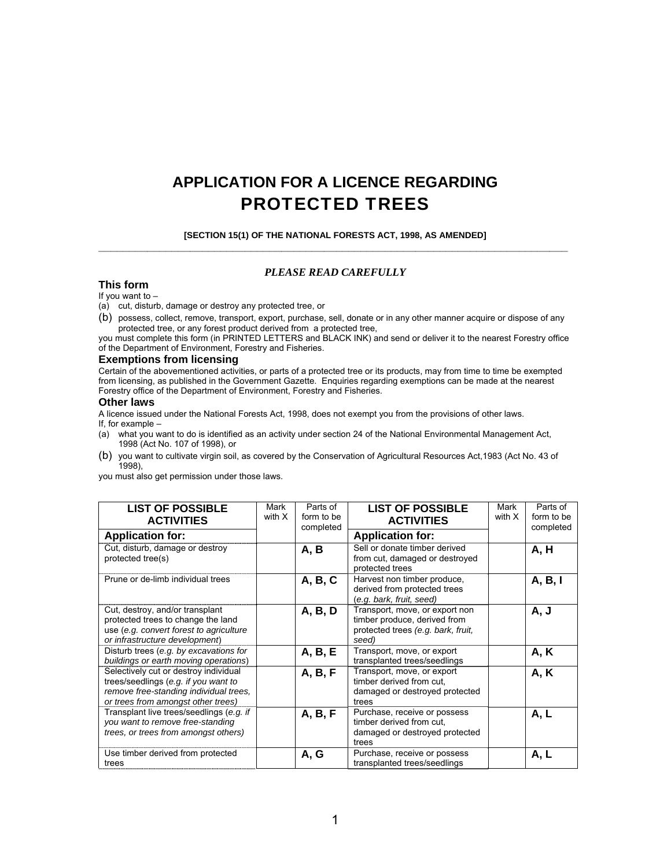# **APPLICATION FOR A LICENCE REGARDING** PROTECTED TREES

**[SECTION 15(1) OF THE NATIONAL FORESTS ACT, 1998, AS AMENDED] \_\_\_\_\_\_\_\_\_\_\_\_\_\_\_\_\_\_\_\_\_\_\_\_\_\_\_\_\_\_\_\_\_\_\_\_\_\_\_\_\_\_\_\_\_\_\_\_\_\_\_\_\_\_\_\_\_\_\_\_\_\_\_\_\_\_\_\_\_\_\_\_\_\_\_\_\_** 

#### *PLEASE READ CAREFULLY*

#### **This form**

#### If you want to –

(a) cut, disturb, damage or destroy any protected tree, or

(b) possess, collect, remove, transport, export, purchase, sell, donate or in any other manner acquire or dispose of any protected tree, or any forest product derived from a protected tree,

you must complete this form (in PRINTED LETTERS and BLACK INK) and send or deliver it to the nearest Forestry office of the Department of Environment, Forestry and Fisheries.

#### **Exemptions from licensing**

Certain of the abovementioned activities, or parts of a protected tree or its products, may from time to time be exempted from licensing, as published in the Government Gazette. Enquiries regarding exemptions can be made at the nearest Forestry office of the Department of Environment, Forestry and Fisheries.

#### **Other laws**

A licence issued under the National Forests Act, 1998, does not exempt you from the provisions of other laws.

- If, for example -<br>(a) what you w what you want to do is identified as an activity under section 24 of the National Environmental Management Act, 1998 (Act No. 107 of 1998), or
- (b) you want to cultivate virgin soil, as covered by the Conservation of Agricultural Resources Act,1983 (Act No. 43 of 1998),

you must also get permission under those laws.

| <b>LIST OF POSSIBLE</b><br><b>ACTIVITIES</b>                                                                                                                  | Mark<br>with X | Parts of<br>form to be<br>completed | <b>LIST OF POSSIBLE</b><br><b>ACTIVITIES</b>                                                                  | Mark<br>with X | Parts of<br>form to be<br>completed |
|---------------------------------------------------------------------------------------------------------------------------------------------------------------|----------------|-------------------------------------|---------------------------------------------------------------------------------------------------------------|----------------|-------------------------------------|
| <b>Application for:</b>                                                                                                                                       |                |                                     | <b>Application for:</b>                                                                                       |                |                                     |
| Cut, disturb, damage or destroy<br>protected tree(s)                                                                                                          |                | A, B                                | Sell or donate timber derived<br>from cut, damaged or destroyed<br>protected trees                            |                | A, H                                |
| Prune or de-limb individual trees                                                                                                                             |                | A, B, C                             | Harvest non timber produce,<br>derived from protected trees<br>(e.g. bark, fruit, seed)                       |                | A, B, I                             |
| Cut, destroy, and/or transplant<br>protected trees to change the land<br>use (e.g. convert forest to agriculture<br>or infrastructure development)            |                | A, B, D                             | Transport, move, or export non<br>timber produce, derived from<br>protected trees (e.g. bark, fruit,<br>seed) |                | A, J                                |
| Disturb trees (e.g. by excavations for<br>buildings or earth moving operations)                                                                               |                | A, B, E                             | Transport, move, or export<br>transplanted trees/seedlings                                                    |                | <b>A, K</b>                         |
| Selectively cut or destroy individual<br>trees/seedlings (e.g. if you want to<br>remove free-standing individual trees,<br>or trees from amongst other trees) |                | A, B, F                             | Transport, move, or export<br>timber derived from cut.<br>damaged or destroyed protected<br>trees             |                | <b>A, K</b>                         |
| Transplant live trees/seedlings (e.g. if<br>you want to remove free-standing<br>trees, or trees from amongst others)                                          |                | A, B, F                             | Purchase, receive or possess<br>timber derived from cut.<br>damaged or destroyed protected<br>trees           |                | A, L                                |
| Use timber derived from protected<br>trees                                                                                                                    |                | A, G                                | Purchase, receive or possess<br>transplanted trees/seedlings                                                  |                | A, L                                |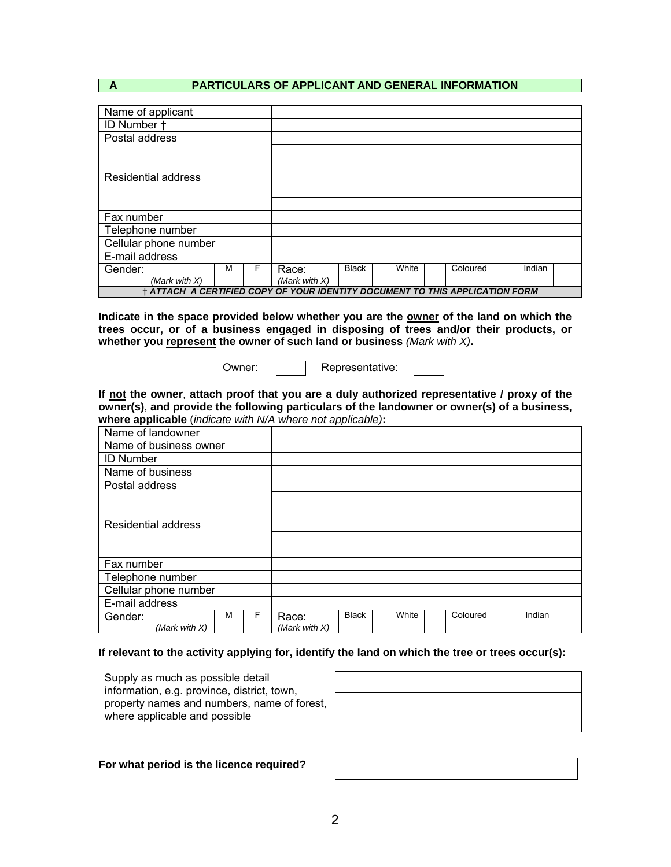## **A PARTICULARS OF APPLICANT AND GENERAL INFORMATION**

| Name of applicant                                                            |                       |   |       |              |  |       |  |          |        |  |
|------------------------------------------------------------------------------|-----------------------|---|-------|--------------|--|-------|--|----------|--------|--|
| ID Number +                                                                  |                       |   |       |              |  |       |  |          |        |  |
| Postal address                                                               |                       |   |       |              |  |       |  |          |        |  |
|                                                                              |                       |   |       |              |  |       |  |          |        |  |
|                                                                              |                       |   |       |              |  |       |  |          |        |  |
| <b>Residential address</b>                                                   |                       |   |       |              |  |       |  |          |        |  |
|                                                                              |                       |   |       |              |  |       |  |          |        |  |
|                                                                              |                       |   |       |              |  |       |  |          |        |  |
| Fax number                                                                   |                       |   |       |              |  |       |  |          |        |  |
| Telephone number                                                             |                       |   |       |              |  |       |  |          |        |  |
|                                                                              | Cellular phone number |   |       |              |  |       |  |          |        |  |
| E-mail address                                                               |                       |   |       |              |  |       |  |          |        |  |
| Gender:                                                                      | м                     | F | Race: | <b>Black</b> |  | White |  | Coloured | Indian |  |
| (Mark with X)<br>(Mark with $X$ )                                            |                       |   |       |              |  |       |  |          |        |  |
| † ATTACH A CERTIFIED COPY OF YOUR IDENTITY DOCUMENT TO THIS APPLICATION FORM |                       |   |       |              |  |       |  |          |        |  |

**Indicate in the space provided below whether you are the owner of the land on which the trees occur, or of a business engaged in disposing of trees and/or their products, or whether you represent the owner of such land or business** *(Mark with X)***.** 

Owner: | | Representative:

**If not the owner**, **attach proof that you are a duly authorized representative / proxy of the owner(s)**, **and provide the following particulars of the landowner or owner(s) of a business, where applicable** (*indicate with N/A where not applicable)***:** 

| Name of landowner          |   |   |                  |              |       |          |        |  |
|----------------------------|---|---|------------------|--------------|-------|----------|--------|--|
| Name of business owner     |   |   |                  |              |       |          |        |  |
| <b>ID Number</b>           |   |   |                  |              |       |          |        |  |
| Name of business           |   |   |                  |              |       |          |        |  |
| Postal address             |   |   |                  |              |       |          |        |  |
|                            |   |   |                  |              |       |          |        |  |
|                            |   |   |                  |              |       |          |        |  |
| <b>Residential address</b> |   |   |                  |              |       |          |        |  |
|                            |   |   |                  |              |       |          |        |  |
|                            |   |   |                  |              |       |          |        |  |
| Fax number                 |   |   |                  |              |       |          |        |  |
| Telephone number           |   |   |                  |              |       |          |        |  |
| Cellular phone number      |   |   |                  |              |       |          |        |  |
| E-mail address             |   |   |                  |              |       |          |        |  |
| Gender:                    | м | F | Race:            | <b>Black</b> | White | Coloured | Indian |  |
| (Mark with X)              |   |   | (Mark with $X$ ) |              |       |          |        |  |

#### **If relevant to the activity applying for, identify the land on which the tree or trees occur(s):**

Supply as much as possible detail information, e.g. province, district, town, property names and numbers, name of forest, where applicable and possible

**For what period is the licence required?**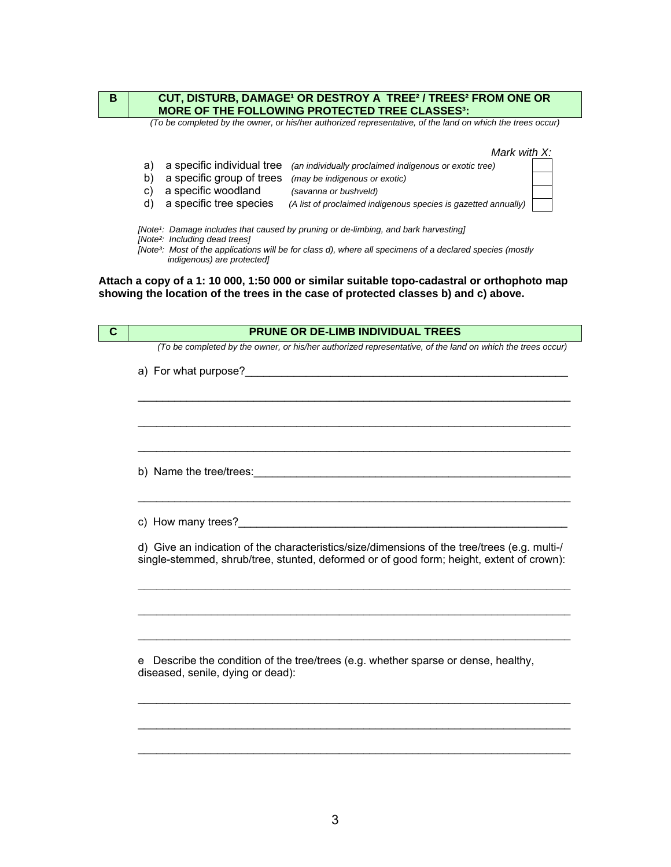| B           | CUT, DISTURB, DAMAGE <sup>1</sup> OR DESTROY A TREE <sup>2</sup> / TREES <sup>2</sup> FROM ONE OR<br><b>MORE OF THE FOLLOWING PROTECTED TREE CLASSES3:</b>                                                                                                                                                                                                                                                                                                                                                                                                                                                                                                                                                                        |
|-------------|-----------------------------------------------------------------------------------------------------------------------------------------------------------------------------------------------------------------------------------------------------------------------------------------------------------------------------------------------------------------------------------------------------------------------------------------------------------------------------------------------------------------------------------------------------------------------------------------------------------------------------------------------------------------------------------------------------------------------------------|
|             | (To be completed by the owner, or his/her authorized representative, of the land on which the trees occur)                                                                                                                                                                                                                                                                                                                                                                                                                                                                                                                                                                                                                        |
|             | Mark with X:<br>a specific individual tree<br>a)<br>(an individually proclaimed indigenous or exotic tree)<br>a specific group of trees<br>b)<br>(may be indigenous or exotic)<br>a specific woodland<br>C)<br>(savanna or bushveld)<br>a specific tree species<br>d)<br>(A list of proclaimed indigenous species is gazetted annually)<br>[Note1: Damage includes that caused by pruning or de-limbing, and bark harvesting]<br>[Note <sup>2</sup> : Including dead trees]<br>[Note <sup>3</sup> : Most of the applications will be for class d), where all specimens of a declared species (mostly<br>indigenous) are protected]<br>Attach a copy of a 1: 10 000, 1:50 000 or similar suitable topo-cadastral or orthophoto map |
|             | showing the location of the trees in the case of protected classes b) and c) above.                                                                                                                                                                                                                                                                                                                                                                                                                                                                                                                                                                                                                                               |
|             |                                                                                                                                                                                                                                                                                                                                                                                                                                                                                                                                                                                                                                                                                                                                   |
| $\mathbf c$ | PRUNE OR DE-LIMB INDIVIDUAL TREES                                                                                                                                                                                                                                                                                                                                                                                                                                                                                                                                                                                                                                                                                                 |
|             |                                                                                                                                                                                                                                                                                                                                                                                                                                                                                                                                                                                                                                                                                                                                   |
|             | (To be completed by the owner, or his/her authorized representative, of the land on which the trees occur)                                                                                                                                                                                                                                                                                                                                                                                                                                                                                                                                                                                                                        |
|             | a) For what purpose?                                                                                                                                                                                                                                                                                                                                                                                                                                                                                                                                                                                                                                                                                                              |
|             |                                                                                                                                                                                                                                                                                                                                                                                                                                                                                                                                                                                                                                                                                                                                   |
|             |                                                                                                                                                                                                                                                                                                                                                                                                                                                                                                                                                                                                                                                                                                                                   |
|             |                                                                                                                                                                                                                                                                                                                                                                                                                                                                                                                                                                                                                                                                                                                                   |
|             |                                                                                                                                                                                                                                                                                                                                                                                                                                                                                                                                                                                                                                                                                                                                   |
|             | b) Name the tree/trees:                                                                                                                                                                                                                                                                                                                                                                                                                                                                                                                                                                                                                                                                                                           |
|             | c) How many trees?                                                                                                                                                                                                                                                                                                                                                                                                                                                                                                                                                                                                                                                                                                                |
|             | d) Give an indication of the characteristics/size/dimensions of the tree/trees (e.g. multi-/<br>single-stemmed, shrub/tree, stunted, deformed or of good form; height, extent of crown):                                                                                                                                                                                                                                                                                                                                                                                                                                                                                                                                          |

e Describe the condition of the tree/trees (e.g. whether sparse or dense, healthy, diseased, senile, dying or dead):

**\_\_\_\_\_\_\_\_\_\_\_\_\_\_\_\_\_\_\_\_\_\_\_\_\_\_\_\_\_\_\_\_\_\_\_\_\_\_\_\_\_\_\_\_\_\_\_\_\_\_\_\_\_\_\_\_\_\_\_\_\_\_\_\_\_\_\_\_\_\_\_** 

**\_\_\_\_\_\_\_\_\_\_\_\_\_\_\_\_\_\_\_\_\_\_\_\_\_\_\_\_\_\_\_\_\_\_\_\_\_\_\_\_\_\_\_\_\_\_\_\_\_\_\_\_\_\_\_\_\_\_\_\_\_\_\_\_\_\_\_\_\_\_\_** 

\_\_\_\_\_\_\_\_\_\_\_\_\_\_\_\_\_\_\_\_\_\_\_\_\_\_\_\_\_\_\_\_\_\_\_\_\_\_\_\_\_\_\_\_\_\_\_\_\_\_\_\_\_\_\_\_\_\_\_\_\_\_\_\_\_\_\_\_\_\_\_

\_\_\_\_\_\_\_\_\_\_\_\_\_\_\_\_\_\_\_\_\_\_\_\_\_\_\_\_\_\_\_\_\_\_\_\_\_\_\_\_\_\_\_\_\_\_\_\_\_\_\_\_\_\_\_\_\_\_\_\_\_\_\_\_\_\_\_\_\_\_\_

\_\_\_\_\_\_\_\_\_\_\_\_\_\_\_\_\_\_\_\_\_\_\_\_\_\_\_\_\_\_\_\_\_\_\_\_\_\_\_\_\_\_\_\_\_\_\_\_\_\_\_\_\_\_\_\_\_\_\_\_\_\_\_\_\_\_\_\_\_\_\_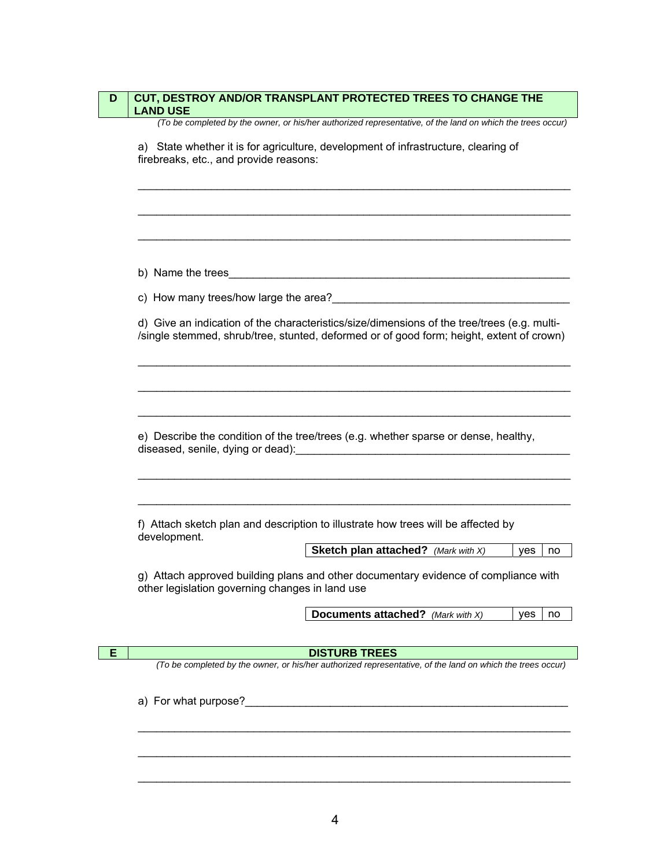| <b>Sketch plan attached?</b> (Mark with X)<br>ves<br>Documents attached? (Mark with X)<br><b>ves</b><br><b>DISTURB TREES</b><br>a) For what purpose?<br><u> a</u> | <b>CUT, DESTROY AND/OR TRANSPLANT PROTECTED TREES TO CHANGE THE</b><br><b>LAND USE</b>                                                                                                  |
|-------------------------------------------------------------------------------------------------------------------------------------------------------------------|-----------------------------------------------------------------------------------------------------------------------------------------------------------------------------------------|
|                                                                                                                                                                   | (To be completed by the owner, or his/her authorized representative, of the land on which the trees occur)                                                                              |
|                                                                                                                                                                   | a) State whether it is for agriculture, development of infrastructure, clearing of<br>firebreaks, etc., and provide reasons:                                                            |
|                                                                                                                                                                   |                                                                                                                                                                                         |
|                                                                                                                                                                   | b) Name the trees                                                                                                                                                                       |
|                                                                                                                                                                   |                                                                                                                                                                                         |
|                                                                                                                                                                   | d) Give an indication of the characteristics/size/dimensions of the tree/trees (e.g. multi-<br>/single stemmed, shrub/tree, stunted, deformed or of good form; height, extent of crown) |
|                                                                                                                                                                   |                                                                                                                                                                                         |
|                                                                                                                                                                   | e) Describe the condition of the tree/trees (e.g. whether sparse or dense, healthy,                                                                                                     |
|                                                                                                                                                                   | f) Attach sketch plan and description to illustrate how trees will be affected by<br>development.                                                                                       |
|                                                                                                                                                                   | no                                                                                                                                                                                      |
|                                                                                                                                                                   | g) Attach approved building plans and other documentary evidence of compliance with<br>other legislation governing changes in land use                                                  |
|                                                                                                                                                                   | no                                                                                                                                                                                      |
|                                                                                                                                                                   |                                                                                                                                                                                         |
|                                                                                                                                                                   | (To be completed by the owner, or his/her authorized representative, of the land on which the trees occur)                                                                              |
|                                                                                                                                                                   |                                                                                                                                                                                         |
|                                                                                                                                                                   |                                                                                                                                                                                         |
|                                                                                                                                                                   |                                                                                                                                                                                         |
|                                                                                                                                                                   |                                                                                                                                                                                         |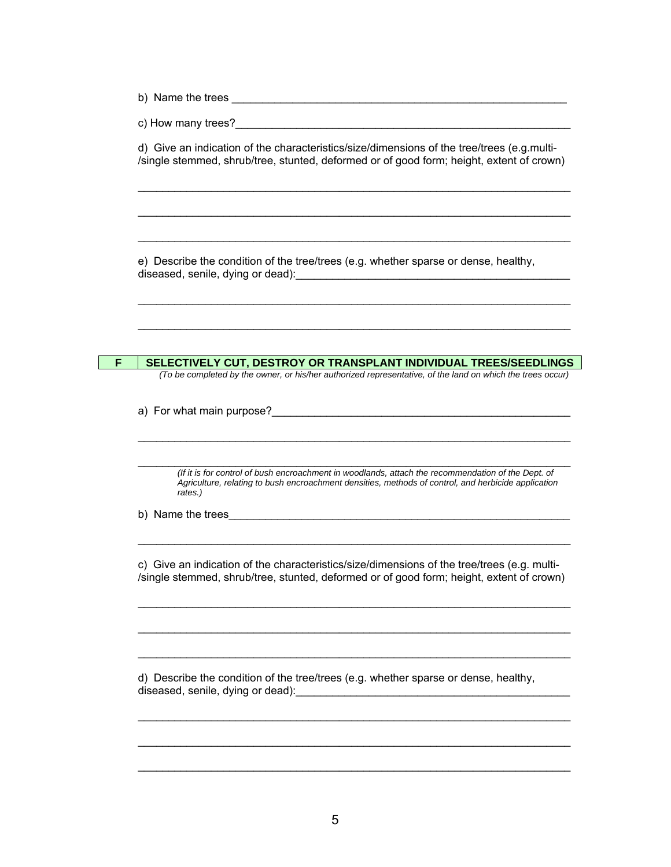b) Name the trees \_\_\_\_\_\_\_\_\_\_\_\_\_\_\_\_\_\_\_\_\_\_\_\_\_\_\_\_\_\_\_\_\_\_\_\_\_\_\_\_\_\_\_\_\_\_\_\_\_\_\_\_\_\_\_

c) How many trees?

d) Give an indication of the characteristics/size/dimensions of the tree/trees (e.g.multi- /single stemmed, shrub/tree, stunted, deformed or of good form; height, extent of crown)

\_\_\_\_\_\_\_\_\_\_\_\_\_\_\_\_\_\_\_\_\_\_\_\_\_\_\_\_\_\_\_\_\_\_\_\_\_\_\_\_\_\_\_\_\_\_\_\_\_\_\_\_\_\_\_\_\_\_\_\_\_\_\_\_\_\_\_\_\_\_\_

\_\_\_\_\_\_\_\_\_\_\_\_\_\_\_\_\_\_\_\_\_\_\_\_\_\_\_\_\_\_\_\_\_\_\_\_\_\_\_\_\_\_\_\_\_\_\_\_\_\_\_\_\_\_\_\_\_\_\_\_\_\_\_\_\_\_\_\_\_\_\_

\_\_\_\_\_\_\_\_\_\_\_\_\_\_\_\_\_\_\_\_\_\_\_\_\_\_\_\_\_\_\_\_\_\_\_\_\_\_\_\_\_\_\_\_\_\_\_\_\_\_\_\_\_\_\_\_\_\_\_\_\_\_\_\_\_\_\_\_\_\_\_

\_\_\_\_\_\_\_\_\_\_\_\_\_\_\_\_\_\_\_\_\_\_\_\_\_\_\_\_\_\_\_\_\_\_\_\_\_\_\_\_\_\_\_\_\_\_\_\_\_\_\_\_\_\_\_\_\_\_\_\_\_\_\_\_\_\_\_\_\_\_\_

\_\_\_\_\_\_\_\_\_\_\_\_\_\_\_\_\_\_\_\_\_\_\_\_\_\_\_\_\_\_\_\_\_\_\_\_\_\_\_\_\_\_\_\_\_\_\_\_\_\_\_\_\_\_\_\_\_\_\_\_\_\_\_\_\_\_\_\_\_\_\_

e) Describe the condition of the tree/trees (e.g. whether sparse or dense, healthy, diseased, senile, dying or dead):

**F SELECTIVELY CUT, DESTROY OR TRANSPLANT INDIVIDUAL TREES/SEEDLINGS**  *(To be completed by the owner, or his/her authorized representative, of the land on which the trees occur)*

a) For what main purpose?

\_\_\_\_\_\_\_\_\_\_\_\_\_\_\_\_\_\_\_\_\_\_\_\_\_\_\_\_\_\_\_\_\_\_\_\_\_\_\_\_\_\_\_\_\_\_\_\_\_\_\_\_\_\_\_\_\_\_\_\_\_\_\_\_\_\_\_\_\_\_\_ *(If it is for control of bush encroachment in woodlands, attach the recommendation of the Dept. of Agriculture, relating to bush encroachment densities, methods of control, and herbicide application rates.)*

\_\_\_\_\_\_\_\_\_\_\_\_\_\_\_\_\_\_\_\_\_\_\_\_\_\_\_\_\_\_\_\_\_\_\_\_\_\_\_\_\_\_\_\_\_\_\_\_\_\_\_\_\_\_\_\_\_\_\_\_\_\_\_\_\_\_\_\_\_\_\_

b) Name the trees

c) Give an indication of the characteristics/size/dimensions of the tree/trees (e.g. multi- /single stemmed, shrub/tree, stunted, deformed or of good form; height, extent of crown)

\_\_\_\_\_\_\_\_\_\_\_\_\_\_\_\_\_\_\_\_\_\_\_\_\_\_\_\_\_\_\_\_\_\_\_\_\_\_\_\_\_\_\_\_\_\_\_\_\_\_\_\_\_\_\_\_\_\_\_\_\_\_\_\_\_\_\_\_\_\_\_

\_\_\_\_\_\_\_\_\_\_\_\_\_\_\_\_\_\_\_\_\_\_\_\_\_\_\_\_\_\_\_\_\_\_\_\_\_\_\_\_\_\_\_\_\_\_\_\_\_\_\_\_\_\_\_\_\_\_\_\_\_\_\_\_\_\_\_\_\_\_\_

\_\_\_\_\_\_\_\_\_\_\_\_\_\_\_\_\_\_\_\_\_\_\_\_\_\_\_\_\_\_\_\_\_\_\_\_\_\_\_\_\_\_\_\_\_\_\_\_\_\_\_\_\_\_\_\_\_\_\_\_\_\_\_\_\_\_\_\_\_\_\_

\_\_\_\_\_\_\_\_\_\_\_\_\_\_\_\_\_\_\_\_\_\_\_\_\_\_\_\_\_\_\_\_\_\_\_\_\_\_\_\_\_\_\_\_\_\_\_\_\_\_\_\_\_\_\_\_\_\_\_\_\_\_\_\_\_\_\_\_\_\_\_

\_\_\_\_\_\_\_\_\_\_\_\_\_\_\_\_\_\_\_\_\_\_\_\_\_\_\_\_\_\_\_\_\_\_\_\_\_\_\_\_\_\_\_\_\_\_\_\_\_\_\_\_\_\_\_\_\_\_\_\_\_\_\_\_\_\_\_\_\_\_\_

\_\_\_\_\_\_\_\_\_\_\_\_\_\_\_\_\_\_\_\_\_\_\_\_\_\_\_\_\_\_\_\_\_\_\_\_\_\_\_\_\_\_\_\_\_\_\_\_\_\_\_\_\_\_\_\_\_\_\_\_\_\_\_\_\_\_\_\_\_\_\_

\_\_\_\_\_\_\_\_\_\_\_\_\_\_\_\_\_\_\_\_\_\_\_\_\_\_\_\_\_\_\_\_\_\_\_\_\_\_\_\_\_\_\_\_\_\_\_\_\_\_\_\_\_\_\_\_\_\_\_\_\_\_\_\_\_\_\_\_\_\_\_

d) Describe the condition of the tree/trees (e.g. whether sparse or dense, healthy, diseased, senile, dying or dead):\_\_\_\_\_\_\_\_\_\_\_\_\_\_\_\_\_\_\_\_\_\_\_\_\_\_\_\_\_\_\_\_\_\_\_\_\_\_\_\_\_\_\_\_\_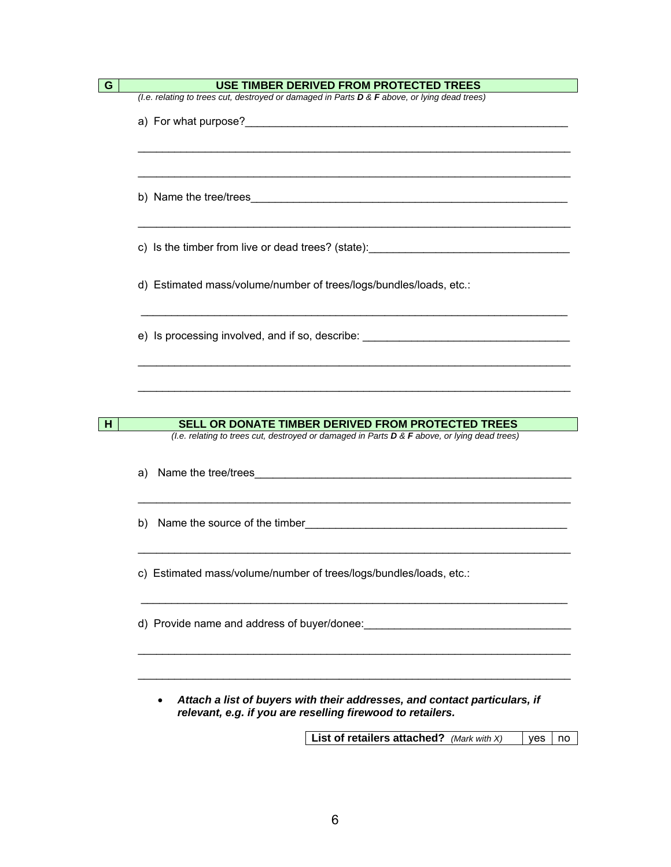|    | USE TIMBER DERIVED FROM PROTECTED TREES                                                                                                                                                                                        |
|----|--------------------------------------------------------------------------------------------------------------------------------------------------------------------------------------------------------------------------------|
|    | (I.e. relating to trees cut, destroyed or damaged in Parts D & F above, or lying dead trees)                                                                                                                                   |
|    | a) For what purpose?<br><u> a</u>                                                                                                                                                                                              |
|    |                                                                                                                                                                                                                                |
|    |                                                                                                                                                                                                                                |
|    |                                                                                                                                                                                                                                |
|    |                                                                                                                                                                                                                                |
|    |                                                                                                                                                                                                                                |
|    |                                                                                                                                                                                                                                |
|    |                                                                                                                                                                                                                                |
|    | c) Is the timber from live or dead trees? (state): ______________________________                                                                                                                                              |
|    |                                                                                                                                                                                                                                |
|    | d) Estimated mass/volume/number of trees/logs/bundles/loads, etc.:                                                                                                                                                             |
|    |                                                                                                                                                                                                                                |
|    |                                                                                                                                                                                                                                |
|    | e) Is processing involved, and if so, describe: expression and interventional contract of the state of the state of the state of the state of the state of the state of the state of the state of the state of the state of th |
|    |                                                                                                                                                                                                                                |
|    |                                                                                                                                                                                                                                |
|    |                                                                                                                                                                                                                                |
|    |                                                                                                                                                                                                                                |
|    | SELL OR DONATE TIMBER DERIVED FROM PROTECTED TREES                                                                                                                                                                             |
|    | (I.e. relating to trees cut, destroyed or damaged in Parts D & F above, or lying dead trees)                                                                                                                                   |
|    |                                                                                                                                                                                                                                |
| a) |                                                                                                                                                                                                                                |
|    |                                                                                                                                                                                                                                |
|    |                                                                                                                                                                                                                                |
|    |                                                                                                                                                                                                                                |
|    |                                                                                                                                                                                                                                |
|    |                                                                                                                                                                                                                                |
|    | c) Estimated mass/volume/number of trees/logs/bundles/loads, etc.:                                                                                                                                                             |
|    |                                                                                                                                                                                                                                |
|    |                                                                                                                                                                                                                                |
|    | d) Provide name and address of buyer/donee:<br>the control of the control of the control of the control of the control of the control of                                                                                       |
|    |                                                                                                                                                                                                                                |
|    |                                                                                                                                                                                                                                |
|    |                                                                                                                                                                                                                                |
|    |                                                                                                                                                                                                                                |
|    |                                                                                                                                                                                                                                |

**List of retailers attached?** *(Mark with X)* | yes | no

*relevant, e.g. if you are reselling firewood to retailers.*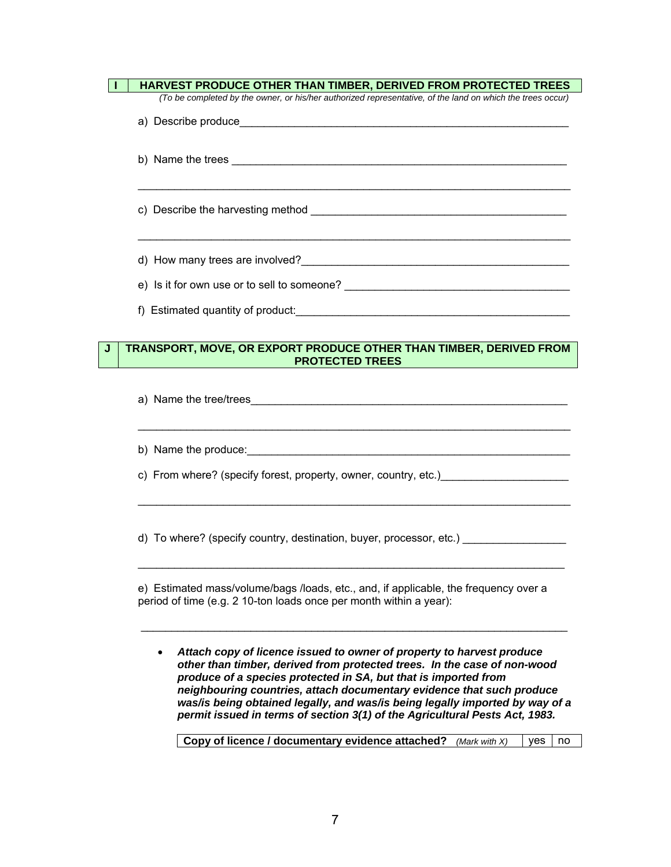|   | HARVEST PRODUCE OTHER THAN TIMBER, DERIVED FROM PROTECTED TREES                                                                                                                                                                    |
|---|------------------------------------------------------------------------------------------------------------------------------------------------------------------------------------------------------------------------------------|
|   | (To be completed by the owner, or his/her authorized representative, of the land on which the trees occur)                                                                                                                         |
|   |                                                                                                                                                                                                                                    |
|   |                                                                                                                                                                                                                                    |
|   |                                                                                                                                                                                                                                    |
|   |                                                                                                                                                                                                                                    |
|   |                                                                                                                                                                                                                                    |
|   |                                                                                                                                                                                                                                    |
|   |                                                                                                                                                                                                                                    |
| J | TRANSPORT, MOVE, OR EXPORT PRODUCE OTHER THAN TIMBER, DERIVED FROM<br><b>PROTECTED TREES</b>                                                                                                                                       |
|   |                                                                                                                                                                                                                                    |
|   | b) Name the produce: <u>contained</u> and a series of the product of the series of the series of the series of the series of the series of the series of the series of the series of the series of the series of the series of the |
|   | c) From where? (specify forest, property, owner, country, etc.) _________________                                                                                                                                                  |
|   | d) To where? (specify country, destination, buyer, processor, etc.) ___________________                                                                                                                                            |

• *Attach copy of licence issued to owner of property to harvest produce other than timber, derived from protected trees. In the case of non-wood produce of a species protected in SA, but that is imported from neighbouring countries, attach documentary evidence that such produce was/is being obtained legally, and was/is being legally imported by way of a permit issued in terms of section 3(1) of the Agricultural Pests Act, 1983.* 

\_\_\_\_\_\_\_\_\_\_\_\_\_\_\_\_\_\_\_\_\_\_\_\_\_\_\_\_\_\_\_\_\_\_\_\_\_\_\_\_\_\_\_\_\_\_\_\_\_\_\_\_\_\_\_\_\_\_\_\_\_\_\_\_\_\_\_\_\_\_

**Copy of licence / documentary evidence attached?** *(Mark with X)* | yes | no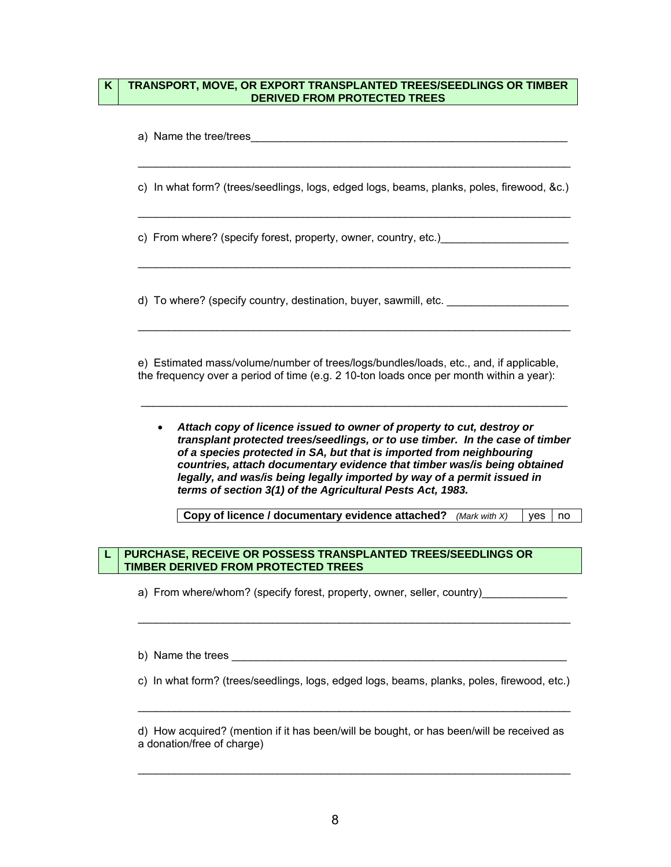#### **K TRANSPORT, MOVE, OR EXPORT TRANSPLANTED TREES/SEEDLINGS OR TIMBER DERIVED FROM PROTECTED TREES**

| a) Name the tree/trees                                                                                                                                                            |
|-----------------------------------------------------------------------------------------------------------------------------------------------------------------------------------|
| c) In what form? (trees/seedlings, logs, edged logs, beams, planks, poles, firewood, &c.)                                                                                         |
| c) From where? (specify forest, property, owner, country, etc.)                                                                                                                   |
| d) To where? (specify country, destination, buyer, sawmill, etc.                                                                                                                  |
| e) Estimated mass/volume/number of trees/logs/bundles/loads, etc., and, if applicable,<br>the frequency over a period of time (e.g. 2 10-ton loads once per month within a year): |

• *Attach copy of licence issued to owner of property to cut, destroy or transplant protected trees/seedlings, or to use timber. In the case of timber of a species protected in SA, but that is imported from neighbouring countries, attach documentary evidence that timber was/is being obtained legally, and was/is being legally imported by way of a permit issued in terms of section 3(1) of the Agricultural Pests Act, 1983.* 

\_\_\_\_\_\_\_\_\_\_\_\_\_\_\_\_\_\_\_\_\_\_\_\_\_\_\_\_\_\_\_\_\_\_\_\_\_\_\_\_\_\_\_\_\_\_\_\_\_\_\_\_\_\_\_\_\_\_\_\_\_\_\_\_\_\_\_\_\_\_

**Copy of licence / documentary evidence attached?** *(Mark with X)* | yes | no

## **L PURCHASE, RECEIVE OR POSSESS TRANSPLANTED TREES/SEEDLINGS OR TIMBER DERIVED FROM PROTECTED TREES**

a) From where/whom? (specify forest, property, owner, seller, country)

b) Name the trees

c) In what form? (trees/seedlings, logs, edged logs, beams, planks, poles, firewood, etc.)

\_\_\_\_\_\_\_\_\_\_\_\_\_\_\_\_\_\_\_\_\_\_\_\_\_\_\_\_\_\_\_\_\_\_\_\_\_\_\_\_\_\_\_\_\_\_\_\_\_\_\_\_\_\_\_\_\_\_\_\_\_\_\_\_\_\_\_\_\_\_\_

\_\_\_\_\_\_\_\_\_\_\_\_\_\_\_\_\_\_\_\_\_\_\_\_\_\_\_\_\_\_\_\_\_\_\_\_\_\_\_\_\_\_\_\_\_\_\_\_\_\_\_\_\_\_\_\_\_\_\_\_\_\_\_\_\_\_\_\_\_\_\_

d) How acquired? (mention if it has been/will be bought, or has been/will be received as a donation/free of charge)

\_\_\_\_\_\_\_\_\_\_\_\_\_\_\_\_\_\_\_\_\_\_\_\_\_\_\_\_\_\_\_\_\_\_\_\_\_\_\_\_\_\_\_\_\_\_\_\_\_\_\_\_\_\_\_\_\_\_\_\_\_\_\_\_\_\_\_\_\_\_\_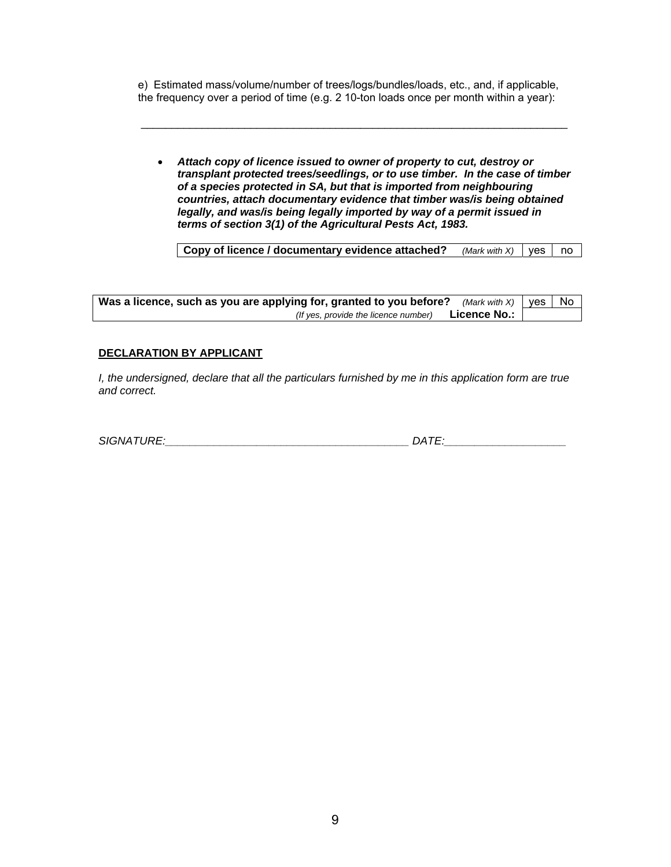e) Estimated mass/volume/number of trees/logs/bundles/loads, etc., and, if applicable, the frequency over a period of time (e.g. 2 10-ton loads once per month within a year):

\_\_\_\_\_\_\_\_\_\_\_\_\_\_\_\_\_\_\_\_\_\_\_\_\_\_\_\_\_\_\_\_\_\_\_\_\_\_\_\_\_\_\_\_\_\_\_\_\_\_\_\_\_\_\_\_\_\_\_\_\_\_\_\_\_\_\_\_\_\_

• *Attach copy of licence issued to owner of property to cut, destroy or transplant protected trees/seedlings, or to use timber. In the case of timber of a species protected in SA, but that is imported from neighbouring countries, attach documentary evidence that timber was/is being obtained legally, and was/is being legally imported by way of a permit issued in terms of section 3(1) of the Agricultural Pests Act, 1983.* 

**Copy of licence / documentary evidence attached?** *(Mark with X)* | yes | no

| Was a licence, such as you are applying for, granted to you before? (Mark with X)   yes   No |  |
|----------------------------------------------------------------------------------------------|--|
| Licence No.: 」<br>(If yes, provide the licence number)                                       |  |

## **DECLARATION BY APPLICANT**

*I*, the undersigned, declare that all the particulars furnished by me in this application form are true *and correct.* 

| <b>SIGNATURE:</b> |      |
|-------------------|------|
|                   | DATT |
|                   |      |